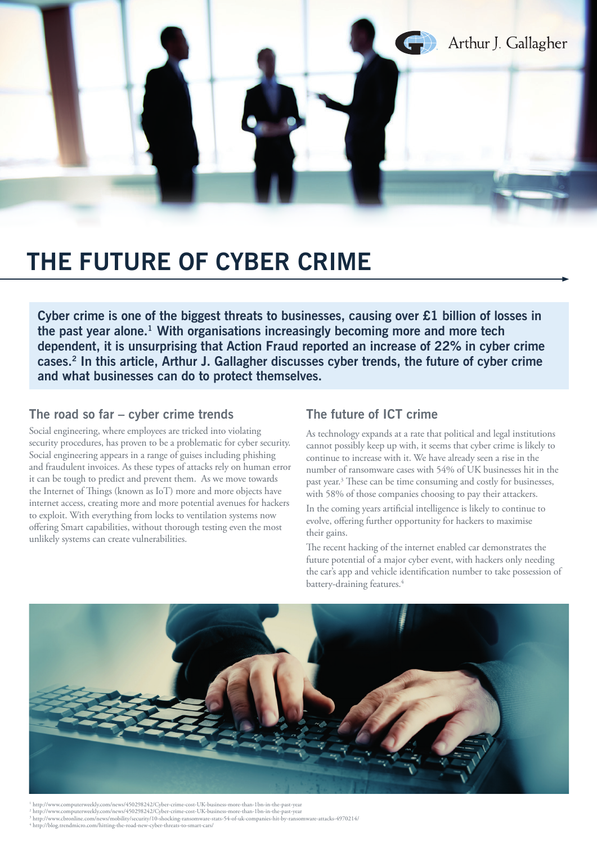

# **THE FUTURE OF CYBER CRIME**

**Cyber crime is one of the biggest threats to businesses, causing over £1 billion of losses in the past year alone.1 With organisations increasingly becoming more and more tech dependent, it is unsurprising that Action Fraud reported an increase of 22% in cyber crime cases.2 In this article, Arthur J. Gallagher discusses cyber trends, the future of cyber crime and what businesses can do to protect themselves.** 

## **The road so far – cyber crime trends**

Social engineering, where employees are tricked into violating security procedures, has proven to be a problematic for cyber security. Social engineering appears in a range of guises including phishing and fraudulent invoices. As these types of attacks rely on human error it can be tough to predict and prevent them. As we move towards the Internet of Things (known as IoT) more and more objects have internet access, creating more and more potential avenues for hackers to exploit. With everything from locks to ventilation systems now offering Smart capabilities, without thorough testing even the most unlikely systems can create vulnerabilities.

## **The future of ICT crime**

As technology expands at a rate that political and legal institutions cannot possibly keep up with, it seems that cyber crime is likely to continue to increase with it. We have already seen a rise in the number of ransomware cases with 54% of UK businesses hit in the past year.<sup>3</sup> These can be time consuming and costly for businesses, with 58% of those companies choosing to pay their attackers.

In the coming years artificial intelligence is likely to continue to evolve, offering further opportunity for hackers to maximise their gains.

The recent hacking of the internet enabled car demonstrates the future potential of a major cyber event, with hackers only needing the car's app and vehicle identification number to take possession of battery-draining features.<sup>4</sup>



1 http://www.computerweekly.com/news/450298242/Cyber-crime-cost-UK-business-more-than-1bn-in-the-past-year <sup>2</sup> http://www.computerweekly.com/news/450298242/Cyber-crime-cost-UK-business-more-than-1bn-in-the-past-year<br><sup>3</sup> http://www.cbronline.com/news/mobility/security/10-shocking-ransomware-stats-54-of-uk-companies-hit-by-ransom 4 http://blog.trendmicro.com/hitting-the-road-new-cyber-threats-to-smart-cars/